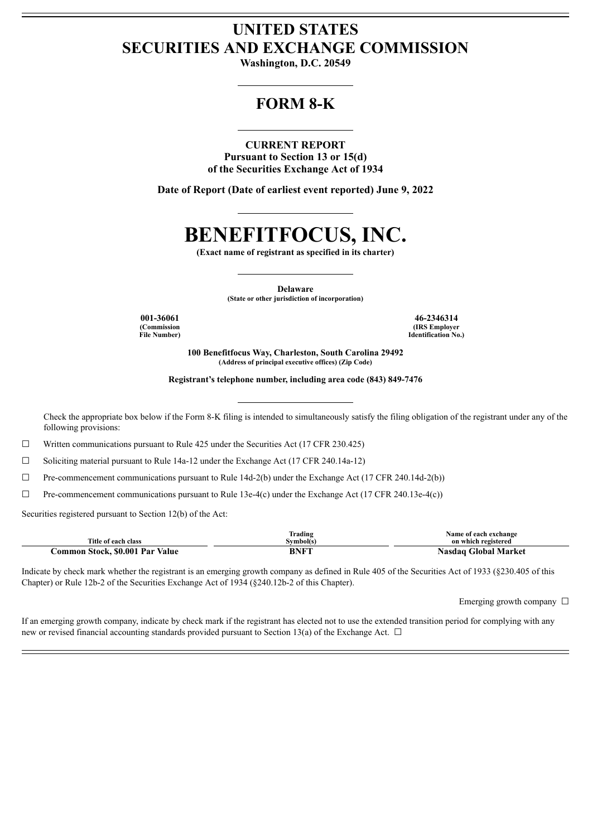# **UNITED STATES SECURITIES AND EXCHANGE COMMISSION**

**Washington, D.C. 20549**

# **FORM 8-K**

#### **CURRENT REPORT**

**Pursuant to Section 13 or 15(d) of the Securities Exchange Act of 1934**

**Date of Report (Date of earliest event reported) June 9, 2022**

# **BENEFITFOCUS, INC.**

**(Exact name of registrant as specified in its charter)**

**Delaware**

**(State or other jurisdiction of incorporation)**

**(Commission File Number)**

**001-36061 46-2346314 (IRS Employer Identification No.)**

> **100 Benefitfocus Way, Charleston, South Carolina 29492 (Address of principal executive offices) (Zip Code)**

**Registrant's telephone number, including area code (843) 849-7476**

Check the appropriate box below if the Form 8-K filing is intended to simultaneously satisfy the filing obligation of the registrant under any of the following provisions:

☐ Written communications pursuant to Rule 425 under the Securities Act (17 CFR 230.425)

☐ Soliciting material pursuant to Rule 14a-12 under the Exchange Act (17 CFR 240.14a-12)

☐ Pre-commencement communications pursuant to Rule 14d-2(b) under the Exchange Act (17 CFR 240.14d-2(b))

 $\Box$  Pre-commencement communications pursuant to Rule 13e-4(c) under the Exchange Act (17 CFR 240.13e-4(c))

Securities registered pursuant to Section 12(b) of the Act:

|                                 | <b>Frading</b> | Name of each exchange     |
|---------------------------------|----------------|---------------------------|
| Title of each class             | Svmbol(s`      | on which registered       |
| Common Stock, \$0.001 Par Value | BNFT           | Global Market<br>Nasdaɑ ( |

Indicate by check mark whether the registrant is an emerging growth company as defined in Rule 405 of the Securities Act of 1933 (§230.405 of this Chapter) or Rule 12b-2 of the Securities Exchange Act of 1934 (§240.12b-2 of this Chapter).

Emerging growth company  $\Box$ 

If an emerging growth company, indicate by check mark if the registrant has elected not to use the extended transition period for complying with any new or revised financial accounting standards provided pursuant to Section 13(a) of the Exchange Act.  $\Box$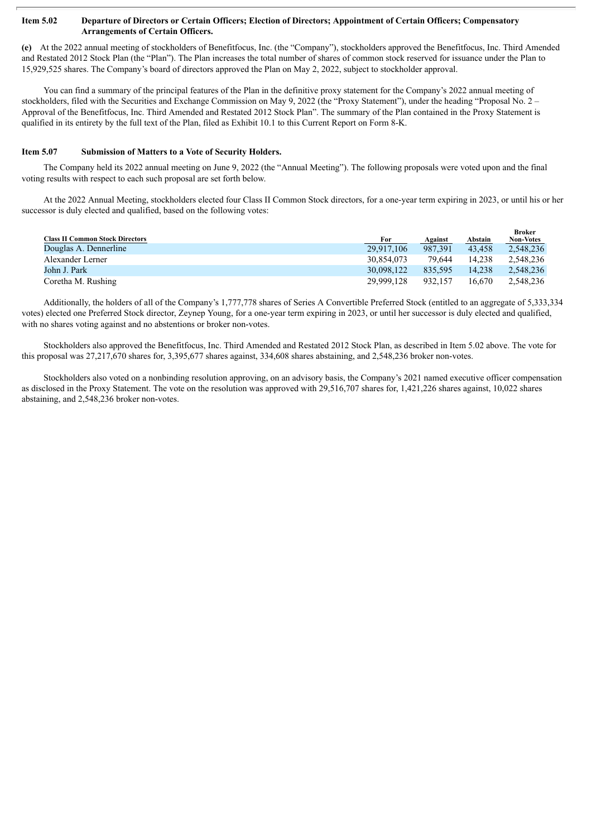#### Item 5.02 Departure of Directors or Certain Officers; Election of Directors; Appointment of Certain Officers; Compensatory **Arrangements of Certain Officers.**

**(e)** At the 2022 annual meeting of stockholders of Benefitfocus, Inc. (the "Company"), stockholders approved the Benefitfocus, Inc. Third Amended and Restated 2012 Stock Plan (the "Plan"). The Plan increases the total number of shares of common stock reserved for issuance under the Plan to 15,929,525 shares. The Company's board of directors approved the Plan on May 2, 2022, subject to stockholder approval.

You can find a summary of the principal features of the Plan in the definitive proxy statement for the Company's 2022 annual meeting of stockholders, filed with the Securities and Exchange Commission on May 9, 2022 (the "Proxy Statement"), under the heading "Proposal No. 2 – Approval of the Benefitfocus, Inc. Third Amended and Restated 2012 Stock Plan". The summary of the Plan contained in the Proxy Statement is qualified in its entirety by the full text of the Plan, filed as Exhibit 10.1 to this Current Report on Form 8-K.

#### **Item 5.07 Submission of Matters to a Vote of Security Holders.**

The Company held its 2022 annual meeting on June 9, 2022 (the "Annual Meeting"). The following proposals were voted upon and the final voting results with respect to each such proposal are set forth below.

At the 2022 Annual Meeting, stockholders elected four Class II Common Stock directors, for a one-year term expiring in 2023, or until his or her successor is duly elected and qualified, based on the following votes:

|                                        |            |         |         | Broker           |
|----------------------------------------|------------|---------|---------|------------------|
| <b>Class II Common Stock Directors</b> | For        | Against | Abstain | <b>Non-Votes</b> |
| Douglas A. Dennerline                  | 29.917.106 | 987.391 | 43.458  | 2.548.236        |
| Alexander Lerner                       | 30.854.073 | 79.644  | 14.238  | 2.548.236        |
| John J. Park                           | 30.098.122 | 835.595 | 14.238  | 2.548.236        |
| Coretha M. Rushing                     | 29.999.128 | 932.157 | 16.670  | 2.548.236        |

Additionally, the holders of all of the Company's 1,777,778 shares of Series A Convertible Preferred Stock (entitled to an aggregate of 5,333,334 votes) elected one Preferred Stock director, Zeynep Young, for a one-year term expiring in 2023, or until her successor is duly elected and qualified, with no shares voting against and no abstentions or broker non-votes.

Stockholders also approved the Benefitfocus, Inc. Third Amended and Restated 2012 Stock Plan, as described in Item 5.02 above. The vote for this proposal was 27,217,670 shares for, 3,395,677 shares against, 334,608 shares abstaining, and 2,548,236 broker non-votes.

Stockholders also voted on a nonbinding resolution approving, on an advisory basis, the Company's 2021 named executive officer compensation as disclosed in the Proxy Statement. The vote on the resolution was approved with 29,516,707 shares for, 1,421,226 shares against, 10,022 shares abstaining, and 2,548,236 broker non-votes.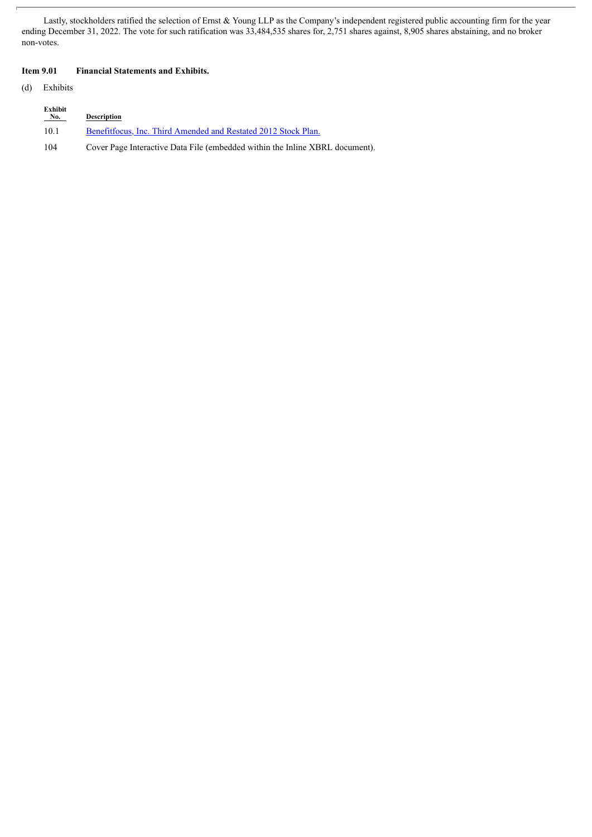Lastly, stockholders ratified the selection of Ernst & Young LLP as the Company's independent registered public accounting firm for the year ending December 31, 2022. The vote for such ratification was 33,484,535 shares for, 2,751 shares against, 8,905 shares abstaining, and no broker non-votes.

### **Item 9.01 Financial Statements and Exhibits.**

(d) Exhibits

| Exhibit<br>No. | <b>Description</b>                                                           |
|----------------|------------------------------------------------------------------------------|
| 10.1           | Benefitfocus. Inc. Third Amended and Restated 2012 Stock Plan.               |
| 104            | Cover Page Interactive Data File (embedded within the Inline XBRL document). |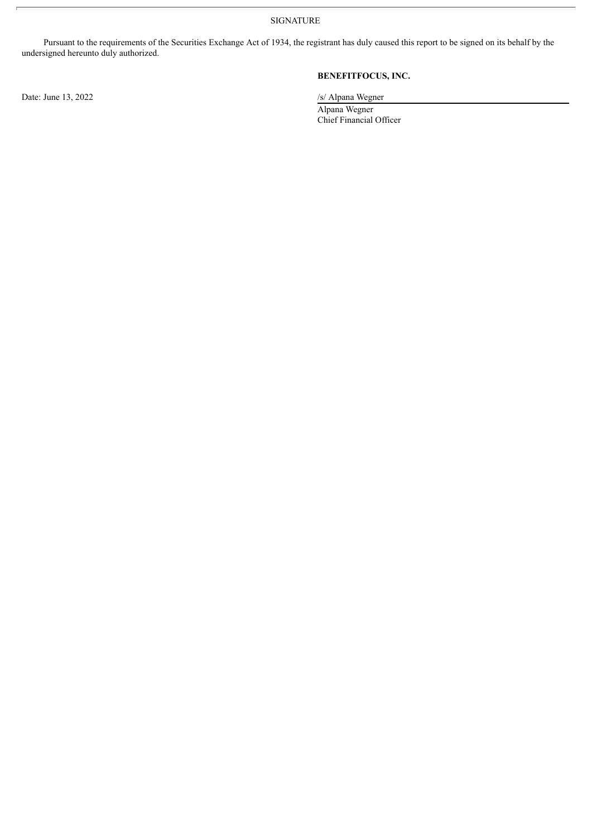SIGNATURE

Pursuant to the requirements of the Securities Exchange Act of 1934, the registrant has duly caused this report to be signed on its behalf by the undersigned hereunto duly authorized.

Date: June 13, 2022 /s/ Alpana Wegner

## **BENEFITFOCUS, INC.**

Alpana Wegner Chief Financial Officer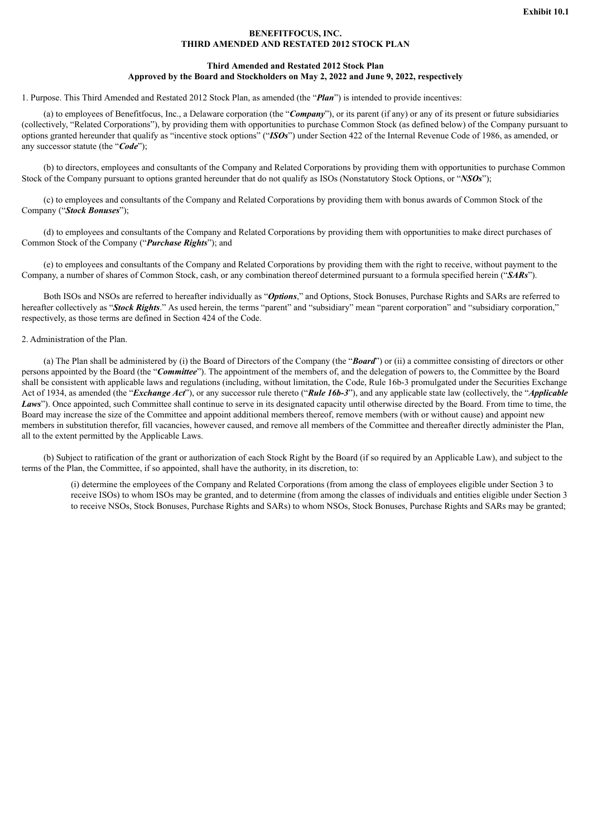#### **BENEFITFOCUS, INC. THIRD AMENDED AND RESTATED 2012 STOCK PLAN**

#### **Third Amended and Restated 2012 Stock Plan Approved by the Board and Stockholders on May 2, 2022 and June 9, 2022, respectively**

<span id="page-4-0"></span>1. Purpose. This Third Amended and Restated 2012 Stock Plan, as amended (the "*Plan*") is intended to provide incentives:

(a) to employees of Benefitfocus, Inc., a Delaware corporation (the "*Company*"), or its parent (if any) or any of its present or future subsidiaries (collectively, "Related Corporations"), by providing them with opportunities to purchase Common Stock (as defined below) of the Company pursuant to options granted hereunder that qualify as "incentive stock options" ("*ISOs*") under Section 422 of the Internal Revenue Code of 1986, as amended, or any successor statute (the "*Code*");

(b) to directors, employees and consultants of the Company and Related Corporations by providing them with opportunities to purchase Common Stock of the Company pursuant to options granted hereunder that do not qualify as ISOs (Nonstatutory Stock Options, or "*NSOs*");

(c) to employees and consultants of the Company and Related Corporations by providing them with bonus awards of Common Stock of the Company ("*Stock Bonuses*");

(d) to employees and consultants of the Company and Related Corporations by providing them with opportunities to make direct purchases of Common Stock of the Company ("*Purchase Rights*"); and

(e) to employees and consultants of the Company and Related Corporations by providing them with the right to receive, without payment to the Company, a number of shares of Common Stock, cash, or any combination thereof determined pursuant to a formula specified herein ("*SARs*").

Both ISOs and NSOs are referred to hereafter individually as "*Options*," and Options, Stock Bonuses, Purchase Rights and SARs are referred to hereafter collectively as "*Stock Rights*." As used herein, the terms "parent" and "subsidiary" mean "parent corporation" and "subsidiary corporation," respectively, as those terms are defined in Section 424 of the Code.

#### 2. Administration of the Plan.

(a) The Plan shall be administered by (i) the Board of Directors of the Company (the "*Board*") or (ii) a committee consisting of directors or other persons appointed by the Board (the "*Committee*"). The appointment of the members of, and the delegation of powers to, the Committee by the Board shall be consistent with applicable laws and regulations (including, without limitation, the Code, Rule 16b-3 promulgated under the Securities Exchange Act of 1934, as amended (the "*Exchange Act*"), or any successor rule thereto ("*Rule 16b-3*"), and any applicable state law (collectively, the "*Applicable Laws*"). Once appointed, such Committee shall continue to serve in its designated capacity until otherwise directed by the Board. From time to time, the Board may increase the size of the Committee and appoint additional members thereof, remove members (with or without cause) and appoint new members in substitution therefor, fill vacancies, however caused, and remove all members of the Committee and thereafter directly administer the Plan, all to the extent permitted by the Applicable Laws.

(b) Subject to ratification of the grant or authorization of each Stock Right by the Board (if so required by an Applicable Law), and subject to the terms of the Plan, the Committee, if so appointed, shall have the authority, in its discretion, to:

(i) determine the employees of the Company and Related Corporations (from among the class of employees eligible under Section 3 to receive ISOs) to whom ISOs may be granted, and to determine (from among the classes of individuals and entities eligible under Section 3 to receive NSOs, Stock Bonuses, Purchase Rights and SARs) to whom NSOs, Stock Bonuses, Purchase Rights and SARs may be granted;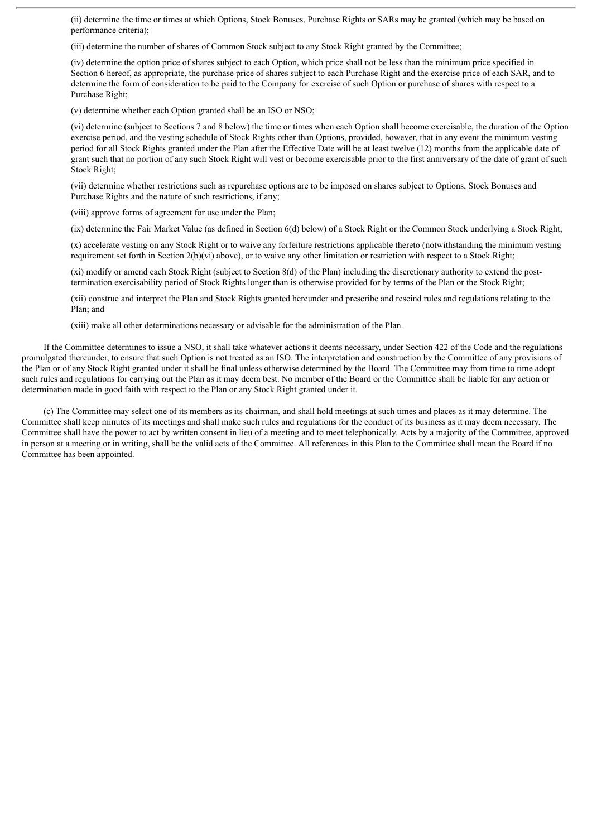(ii) determine the time or times at which Options, Stock Bonuses, Purchase Rights or SARs may be granted (which may be based on performance criteria);

(iii) determine the number of shares of Common Stock subject to any Stock Right granted by the Committee;

(iv) determine the option price of shares subject to each Option, which price shall not be less than the minimum price specified in Section 6 hereof, as appropriate, the purchase price of shares subject to each Purchase Right and the exercise price of each SAR, and to determine the form of consideration to be paid to the Company for exercise of such Option or purchase of shares with respect to a Purchase Right;

(v) determine whether each Option granted shall be an ISO or NSO;

(vi) determine (subject to Sections 7 and 8 below) the time or times when each Option shall become exercisable, the duration of the Option exercise period, and the vesting schedule of Stock Rights other than Options, provided, however, that in any event the minimum vesting period for all Stock Rights granted under the Plan after the Effective Date will be at least twelve (12) months from the applicable date of grant such that no portion of any such Stock Right will vest or become exercisable prior to the first anniversary of the date of grant of such Stock Right;

(vii) determine whether restrictions such as repurchase options are to be imposed on shares subject to Options, Stock Bonuses and Purchase Rights and the nature of such restrictions, if any;

(viii) approve forms of agreement for use under the Plan;

(ix) determine the Fair Market Value (as defined in Section 6(d) below) of a Stock Right or the Common Stock underlying a Stock Right;

(x) accelerate vesting on any Stock Right or to waive any forfeiture restrictions applicable thereto (notwithstanding the minimum vesting requirement set forth in Section 2(b)(vi) above), or to waive any other limitation or restriction with respect to a Stock Right;

(xi) modify or amend each Stock Right (subject to Section 8(d) of the Plan) including the discretionary authority to extend the posttermination exercisability period of Stock Rights longer than is otherwise provided for by terms of the Plan or the Stock Right;

(xii) construe and interpret the Plan and Stock Rights granted hereunder and prescribe and rescind rules and regulations relating to the Plan; and

(xiii) make all other determinations necessary or advisable for the administration of the Plan.

If the Committee determines to issue a NSO, it shall take whatever actions it deems necessary, under Section 422 of the Code and the regulations promulgated thereunder, to ensure that such Option is not treated as an ISO. The interpretation and construction by the Committee of any provisions of the Plan or of any Stock Right granted under it shall be final unless otherwise determined by the Board. The Committee may from time to time adopt such rules and regulations for carrying out the Plan as it may deem best. No member of the Board or the Committee shall be liable for any action or determination made in good faith with respect to the Plan or any Stock Right granted under it.

(c) The Committee may select one of its members as its chairman, and shall hold meetings at such times and places as it may determine. The Committee shall keep minutes of its meetings and shall make such rules and regulations for the conduct of its business as it may deem necessary. The Committee shall have the power to act by written consent in lieu of a meeting and to meet telephonically. Acts by a majority of the Committee, approved in person at a meeting or in writing, shall be the valid acts of the Committee. All references in this Plan to the Committee shall mean the Board if no Committee has been appointed.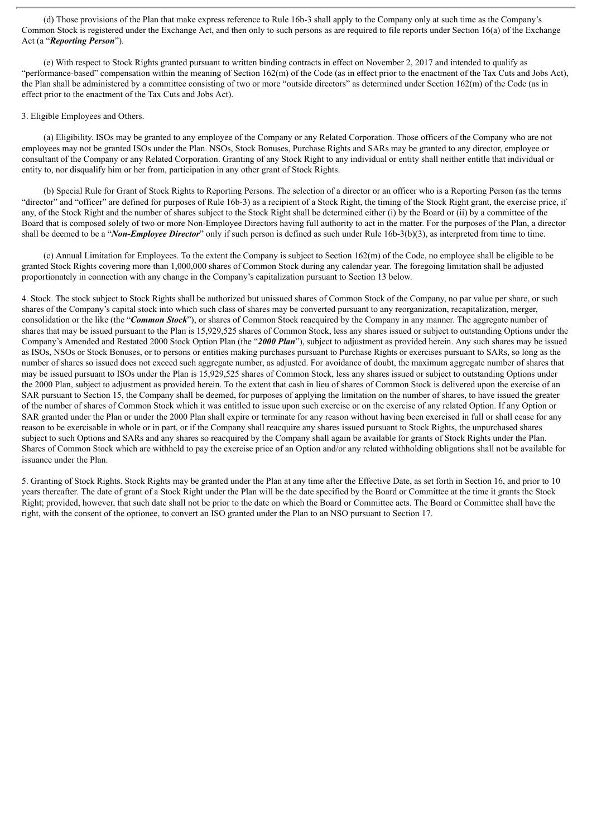(d) Those provisions of the Plan that make express reference to Rule 16b-3 shall apply to the Company only at such time as the Company's Common Stock is registered under the Exchange Act, and then only to such persons as are required to file reports under Section 16(a) of the Exchange Act (a "*Reporting Person*").

(e) With respect to Stock Rights granted pursuant to written binding contracts in effect on November 2, 2017 and intended to qualify as "performance-based" compensation within the meaning of Section 162(m) of the Code (as in effect prior to the enactment of the Tax Cuts and Jobs Act), the Plan shall be administered by a committee consisting of two or more "outside directors" as determined under Section 162(m) of the Code (as in effect prior to the enactment of the Tax Cuts and Jobs Act).

#### 3. Eligible Employees and Others.

(a) Eligibility. ISOs may be granted to any employee of the Company or any Related Corporation. Those officers of the Company who are not employees may not be granted ISOs under the Plan. NSOs, Stock Bonuses, Purchase Rights and SARs may be granted to any director, employee or consultant of the Company or any Related Corporation. Granting of any Stock Right to any individual or entity shall neither entitle that individual or entity to, nor disqualify him or her from, participation in any other grant of Stock Rights.

(b) Special Rule for Grant of Stock Rights to Reporting Persons. The selection of a director or an officer who is a Reporting Person (as the terms "director" and "officer" are defined for purposes of Rule 16b-3) as a recipient of a Stock Right, the timing of the Stock Right grant, the exercise price, if any, of the Stock Right and the number of shares subject to the Stock Right shall be determined either (i) by the Board or (ii) by a committee of the Board that is composed solely of two or more Non-Employee Directors having full authority to act in the matter. For the purposes of the Plan, a director shall be deemed to be a "*Non-Employee Director*" only if such person is defined as such under Rule 16b-3(b)(3), as interpreted from time to time.

(c) Annual Limitation for Employees. To the extent the Company is subject to Section 162(m) of the Code, no employee shall be eligible to be granted Stock Rights covering more than 1,000,000 shares of Common Stock during any calendar year. The foregoing limitation shall be adjusted proportionately in connection with any change in the Company's capitalization pursuant to Section 13 below.

4. Stock. The stock subject to Stock Rights shall be authorized but unissued shares of Common Stock of the Company, no par value per share, or such shares of the Company's capital stock into which such class of shares may be converted pursuant to any reorganization, recapitalization, merger, consolidation or the like (the "*Common Stock*"), or shares of Common Stock reacquired by the Company in any manner. The aggregate number of shares that may be issued pursuant to the Plan is 15,929,525 shares of Common Stock, less any shares issued or subject to outstanding Options under the Company's Amended and Restated 2000 Stock Option Plan (the "*2000 Plan*"), subject to adjustment as provided herein. Any such shares may be issued as ISOs, NSOs or Stock Bonuses, or to persons or entities making purchases pursuant to Purchase Rights or exercises pursuant to SARs, so long as the number of shares so issued does not exceed such aggregate number, as adjusted. For avoidance of doubt, the maximum aggregate number of shares that may be issued pursuant to ISOs under the Plan is 15,929,525 shares of Common Stock, less any shares issued or subject to outstanding Options under the 2000 Plan, subject to adjustment as provided herein. To the extent that cash in lieu of shares of Common Stock is delivered upon the exercise of an SAR pursuant to Section 15, the Company shall be deemed, for purposes of applying the limitation on the number of shares, to have issued the greater of the number of shares of Common Stock which it was entitled to issue upon such exercise or on the exercise of any related Option. If any Option or SAR granted under the Plan or under the 2000 Plan shall expire or terminate for any reason without having been exercised in full or shall cease for any reason to be exercisable in whole or in part, or if the Company shall reacquire any shares issued pursuant to Stock Rights, the unpurchased shares subject to such Options and SARs and any shares so reacquired by the Company shall again be available for grants of Stock Rights under the Plan. Shares of Common Stock which are withheld to pay the exercise price of an Option and/or any related withholding obligations shall not be available for issuance under the Plan.

5. Granting of Stock Rights. Stock Rights may be granted under the Plan at any time after the Effective Date, as set forth in Section 16, and prior to 10 years thereafter. The date of grant of a Stock Right under the Plan will be the date specified by the Board or Committee at the time it grants the Stock Right; provided, however, that such date shall not be prior to the date on which the Board or Committee acts. The Board or Committee shall have the right, with the consent of the optionee, to convert an ISO granted under the Plan to an NSO pursuant to Section 17.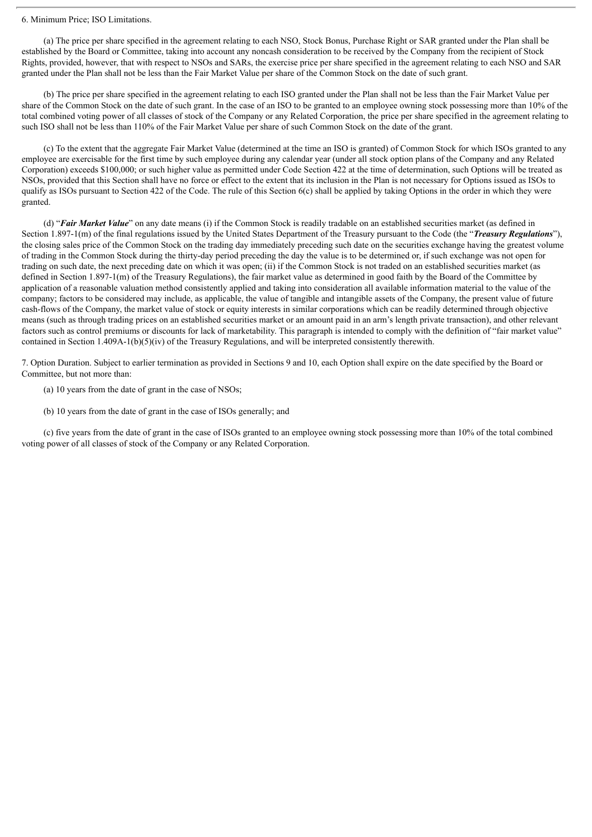#### 6. Minimum Price; ISO Limitations.

(a) The price per share specified in the agreement relating to each NSO, Stock Bonus, Purchase Right or SAR granted under the Plan shall be established by the Board or Committee, taking into account any noncash consideration to be received by the Company from the recipient of Stock Rights, provided, however, that with respect to NSOs and SARs, the exercise price per share specified in the agreement relating to each NSO and SAR granted under the Plan shall not be less than the Fair Market Value per share of the Common Stock on the date of such grant.

(b) The price per share specified in the agreement relating to each ISO granted under the Plan shall not be less than the Fair Market Value per share of the Common Stock on the date of such grant. In the case of an ISO to be granted to an employee owning stock possessing more than 10% of the total combined voting power of all classes of stock of the Company or any Related Corporation, the price per share specified in the agreement relating to such ISO shall not be less than 110% of the Fair Market Value per share of such Common Stock on the date of the grant.

(c) To the extent that the aggregate Fair Market Value (determined at the time an ISO is granted) of Common Stock for which ISOs granted to any employee are exercisable for the first time by such employee during any calendar year (under all stock option plans of the Company and any Related Corporation) exceeds \$100,000; or such higher value as permitted under Code Section 422 at the time of determination, such Options will be treated as NSOs, provided that this Section shall have no force or effect to the extent that its inclusion in the Plan is not necessary for Options issued as ISOs to qualify as ISOs pursuant to Section 422 of the Code. The rule of this Section 6(c) shall be applied by taking Options in the order in which they were granted.

(d) "*Fair Market Value*" on any date means (i) if the Common Stock is readily tradable on an established securities market (as defined in Section 1.897-1(m) of the final regulations issued by the United States Department of the Treasury pursuant to the Code (the "*Treasury Regulations*"), the closing sales price of the Common Stock on the trading day immediately preceding such date on the securities exchange having the greatest volume of trading in the Common Stock during the thirty-day period preceding the day the value is to be determined or, if such exchange was not open for trading on such date, the next preceding date on which it was open; (ii) if the Common Stock is not traded on an established securities market (as defined in Section 1.897-1(m) of the Treasury Regulations), the fair market value as determined in good faith by the Board of the Committee by application of a reasonable valuation method consistently applied and taking into consideration all available information material to the value of the company; factors to be considered may include, as applicable, the value of tangible and intangible assets of the Company, the present value of future cash-flows of the Company, the market value of stock or equity interests in similar corporations which can be readily determined through objective means (such as through trading prices on an established securities market or an amount paid in an arm's length private transaction), and other relevant factors such as control premiums or discounts for lack of marketability. This paragraph is intended to comply with the definition of "fair market value" contained in Section 1.409A-1(b)(5)(iv) of the Treasury Regulations, and will be interpreted consistently therewith.

7. Option Duration. Subject to earlier termination as provided in Sections 9 and 10, each Option shall expire on the date specified by the Board or Committee, but not more than:

- (a) 10 years from the date of grant in the case of NSOs;
- (b) 10 years from the date of grant in the case of ISOs generally; and

(c) five years from the date of grant in the case of ISOs granted to an employee owning stock possessing more than 10% of the total combined voting power of all classes of stock of the Company or any Related Corporation.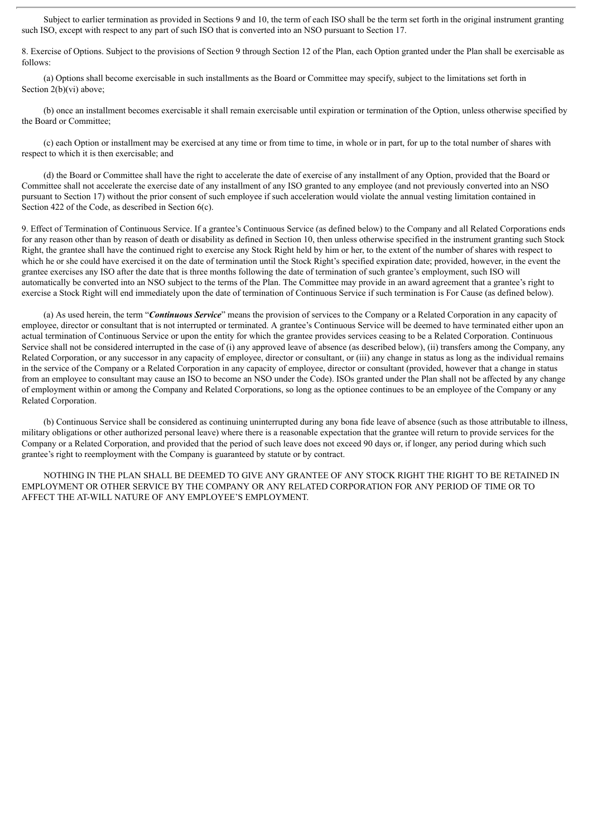Subject to earlier termination as provided in Sections 9 and 10, the term of each ISO shall be the term set forth in the original instrument granting such ISO, except with respect to any part of such ISO that is converted into an NSO pursuant to Section 17.

8. Exercise of Options. Subject to the provisions of Section 9 through Section 12 of the Plan, each Option granted under the Plan shall be exercisable as follows:

(a) Options shall become exercisable in such installments as the Board or Committee may specify, subject to the limitations set forth in Section 2(b)(vi) above;

(b) once an installment becomes exercisable it shall remain exercisable until expiration or termination of the Option, unless otherwise specified by the Board or Committee;

(c) each Option or installment may be exercised at any time or from time to time, in whole or in part, for up to the total number of shares with respect to which it is then exercisable; and

(d) the Board or Committee shall have the right to accelerate the date of exercise of any installment of any Option, provided that the Board or Committee shall not accelerate the exercise date of any installment of any ISO granted to any employee (and not previously converted into an NSO pursuant to Section 17) without the prior consent of such employee if such acceleration would violate the annual vesting limitation contained in Section 422 of the Code, as described in Section 6(c).

9. Effect of Termination of Continuous Service. If a grantee's Continuous Service (as defined below) to the Company and all Related Corporations ends for any reason other than by reason of death or disability as defined in Section 10, then unless otherwise specified in the instrument granting such Stock Right, the grantee shall have the continued right to exercise any Stock Right held by him or her, to the extent of the number of shares with respect to which he or she could have exercised it on the date of termination until the Stock Right's specified expiration date; provided, however, in the event the grantee exercises any ISO after the date that is three months following the date of termination of such grantee's employment, such ISO will automatically be converted into an NSO subject to the terms of the Plan. The Committee may provide in an award agreement that a grantee's right to exercise a Stock Right will end immediately upon the date of termination of Continuous Service if such termination is For Cause (as defined below).

(a) As used herein, the term "*Continuous Service*" means the provision of services to the Company or a Related Corporation in any capacity of employee, director or consultant that is not interrupted or terminated. A grantee's Continuous Service will be deemed to have terminated either upon an actual termination of Continuous Service or upon the entity for which the grantee provides services ceasing to be a Related Corporation. Continuous Service shall not be considered interrupted in the case of (i) any approved leave of absence (as described below), (ii) transfers among the Company, any Related Corporation, or any successor in any capacity of employee, director or consultant, or (iii) any change in status as long as the individual remains in the service of the Company or a Related Corporation in any capacity of employee, director or consultant (provided, however that a change in status from an employee to consultant may cause an ISO to become an NSO under the Code). ISOs granted under the Plan shall not be affected by any change of employment within or among the Company and Related Corporations, so long as the optionee continues to be an employee of the Company or any Related Corporation.

(b) Continuous Service shall be considered as continuing uninterrupted during any bona fide leave of absence (such as those attributable to illness, military obligations or other authorized personal leave) where there is a reasonable expectation that the grantee will return to provide services for the Company or a Related Corporation, and provided that the period of such leave does not exceed 90 days or, if longer, any period during which such grantee's right to reemployment with the Company is guaranteed by statute or by contract.

NOTHING IN THE PLAN SHALL BE DEEMED TO GIVE ANY GRANTEE OF ANY STOCK RIGHT THE RIGHT TO BE RETAINED IN EMPLOYMENT OR OTHER SERVICE BY THE COMPANY OR ANY RELATED CORPORATION FOR ANY PERIOD OF TIME OR TO AFFECT THE AT-WILL NATURE OF ANY EMPLOYEE'S EMPLOYMENT.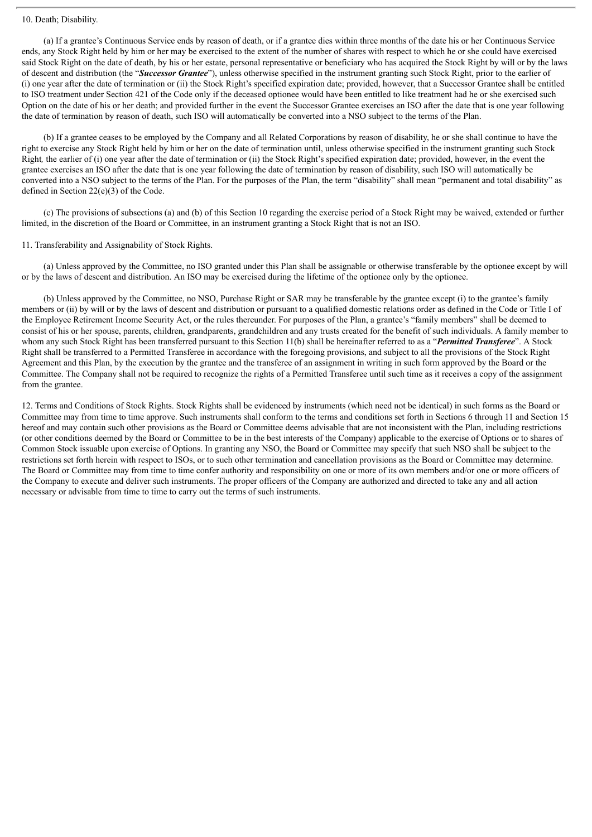#### 10. Death; Disability.

(a) If a grantee's Continuous Service ends by reason of death, or if a grantee dies within three months of the date his or her Continuous Service ends, any Stock Right held by him or her may be exercised to the extent of the number of shares with respect to which he or she could have exercised said Stock Right on the date of death, by his or her estate, personal representative or beneficiary who has acquired the Stock Right by will or by the laws of descent and distribution (the "*Successor Grantee*"), unless otherwise specified in the instrument granting such Stock Right, prior to the earlier of (i) one year after the date of termination or (ii) the Stock Right's specified expiration date; provided, however, that a Successor Grantee shall be entitled to ISO treatment under Section 421 of the Code only if the deceased optionee would have been entitled to like treatment had he or she exercised such Option on the date of his or her death; and provided further in the event the Successor Grantee exercises an ISO after the date that is one year following the date of termination by reason of death, such ISO will automatically be converted into a NSO subject to the terms of the Plan.

(b) If a grantee ceases to be employed by the Company and all Related Corporations by reason of disability, he or she shall continue to have the right to exercise any Stock Right held by him or her on the date of termination until, unless otherwise specified in the instrument granting such Stock Right*,* the earlier of (i) one year after the date of termination or (ii) the Stock Right's specified expiration date; provided, however, in the event the grantee exercises an ISO after the date that is one year following the date of termination by reason of disability, such ISO will automatically be converted into a NSO subject to the terms of the Plan. For the purposes of the Plan, the term "disability" shall mean "permanent and total disability" as defined in Section 22(e)(3) of the Code.

(c) The provisions of subsections (a) and (b) of this Section 10 regarding the exercise period of a Stock Right may be waived, extended or further limited, in the discretion of the Board or Committee, in an instrument granting a Stock Right that is not an ISO.

#### 11. Transferability and Assignability of Stock Rights.

(a) Unless approved by the Committee, no ISO granted under this Plan shall be assignable or otherwise transferable by the optionee except by will or by the laws of descent and distribution. An ISO may be exercised during the lifetime of the optionee only by the optionee.

(b) Unless approved by the Committee, no NSO, Purchase Right or SAR may be transferable by the grantee except (i) to the grantee's family members or (ii) by will or by the laws of descent and distribution or pursuant to a qualified domestic relations order as defined in the Code or Title I of the Employee Retirement Income Security Act, or the rules thereunder. For purposes of the Plan, a grantee's "family members" shall be deemed to consist of his or her spouse, parents, children, grandparents, grandchildren and any trusts created for the benefit of such individuals. A family member to whom any such Stock Right has been transferred pursuant to this Section 11(b) shall be hereinafter referred to as a "*Permitted Transferee*". A Stock Right shall be transferred to a Permitted Transferee in accordance with the foregoing provisions, and subject to all the provisions of the Stock Right Agreement and this Plan, by the execution by the grantee and the transferee of an assignment in writing in such form approved by the Board or the Committee. The Company shall not be required to recognize the rights of a Permitted Transferee until such time as it receives a copy of the assignment from the grantee.

12. Terms and Conditions of Stock Rights. Stock Rights shall be evidenced by instruments (which need not be identical) in such forms as the Board or Committee may from time to time approve. Such instruments shall conform to the terms and conditions set forth in Sections 6 through 11 and Section 15 hereof and may contain such other provisions as the Board or Committee deems advisable that are not inconsistent with the Plan, including restrictions (or other conditions deemed by the Board or Committee to be in the best interests of the Company) applicable to the exercise of Options or to shares of Common Stock issuable upon exercise of Options. In granting any NSO, the Board or Committee may specify that such NSO shall be subject to the restrictions set forth herein with respect to ISOs, or to such other termination and cancellation provisions as the Board or Committee may determine. The Board or Committee may from time to time confer authority and responsibility on one or more of its own members and/or one or more officers of the Company to execute and deliver such instruments. The proper officers of the Company are authorized and directed to take any and all action necessary or advisable from time to time to carry out the terms of such instruments.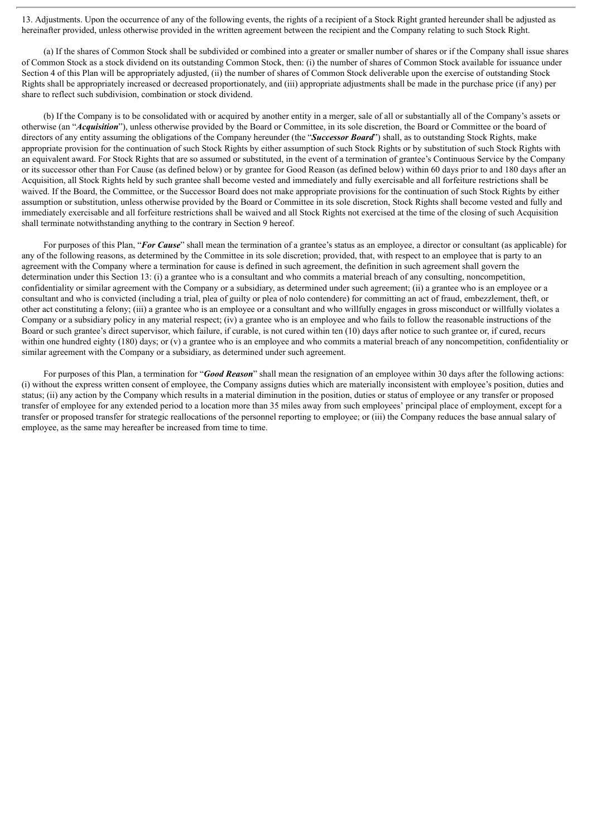13. Adjustments. Upon the occurrence of any of the following events, the rights of a recipient of a Stock Right granted hereunder shall be adjusted as hereinafter provided, unless otherwise provided in the written agreement between the recipient and the Company relating to such Stock Right.

(a) If the shares of Common Stock shall be subdivided or combined into a greater or smaller number of shares or if the Company shall issue shares of Common Stock as a stock dividend on its outstanding Common Stock, then: (i) the number of shares of Common Stock available for issuance under Section 4 of this Plan will be appropriately adjusted, (ii) the number of shares of Common Stock deliverable upon the exercise of outstanding Stock Rights shall be appropriately increased or decreased proportionately, and (iii) appropriate adjustments shall be made in the purchase price (if any) per share to reflect such subdivision, combination or stock dividend.

(b) If the Company is to be consolidated with or acquired by another entity in a merger, sale of all or substantially all of the Company's assets or otherwise (an "*Acquisition*"), unless otherwise provided by the Board or Committee, in its sole discretion, the Board or Committee or the board of directors of any entity assuming the obligations of the Company hereunder (the "*Successor Board*") shall, as to outstanding Stock Rights, make appropriate provision for the continuation of such Stock Rights by either assumption of such Stock Rights or by substitution of such Stock Rights with an equivalent award. For Stock Rights that are so assumed or substituted, in the event of a termination of grantee's Continuous Service by the Company or its successor other than For Cause (as defined below) or by grantee for Good Reason (as defined below) within 60 days prior to and 180 days after an Acquisition, all Stock Rights held by such grantee shall become vested and immediately and fully exercisable and all forfeiture restrictions shall be waived. If the Board, the Committee, or the Successor Board does not make appropriate provisions for the continuation of such Stock Rights by either assumption or substitution, unless otherwise provided by the Board or Committee in its sole discretion, Stock Rights shall become vested and fully and immediately exercisable and all forfeiture restrictions shall be waived and all Stock Rights not exercised at the time of the closing of such Acquisition shall terminate notwithstanding anything to the contrary in Section 9 hereof.

For purposes of this Plan, "*For Cause*" shall mean the termination of a grantee's status as an employee, a director or consultant (as applicable) for any of the following reasons, as determined by the Committee in its sole discretion; provided, that, with respect to an employee that is party to an agreement with the Company where a termination for cause is defined in such agreement, the definition in such agreement shall govern the determination under this Section 13: (i) a grantee who is a consultant and who commits a material breach of any consulting, noncompetition, confidentiality or similar agreement with the Company or a subsidiary, as determined under such agreement; (ii) a grantee who is an employee or a consultant and who is convicted (including a trial, plea of guilty or plea of nolo contendere) for committing an act of fraud, embezzlement, theft, or other act constituting a felony; (iii) a grantee who is an employee or a consultant and who willfully engages in gross misconduct or willfully violates a Company or a subsidiary policy in any material respect;  $(iv)$  a grantee who is an employee and who fails to follow the reasonable instructions of the Board or such grantee's direct supervisor, which failure, if curable, is not cured within ten (10) days after notice to such grantee or, if cured, recurs within one hundred eighty (180) days; or (v) a grantee who is an employee and who commits a material breach of any noncompetition, confidentiality or similar agreement with the Company or a subsidiary, as determined under such agreement.

For purposes of this Plan, a termination for "*Good Reason*" shall mean the resignation of an employee within 30 days after the following actions: (i) without the express written consent of employee, the Company assigns duties which are materially inconsistent with employee's position, duties and status; (ii) any action by the Company which results in a material diminution in the position, duties or status of employee or any transfer or proposed transfer of employee for any extended period to a location more than 35 miles away from such employees' principal place of employment, except for a transfer or proposed transfer for strategic reallocations of the personnel reporting to employee; or (iii) the Company reduces the base annual salary of employee, as the same may hereafter be increased from time to time.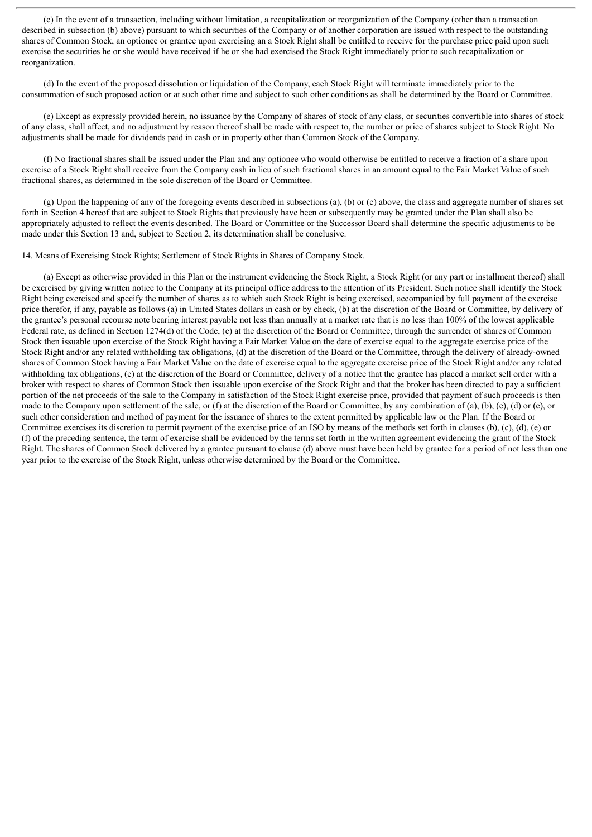(c) In the event of a transaction, including without limitation, a recapitalization or reorganization of the Company (other than a transaction described in subsection (b) above) pursuant to which securities of the Company or of another corporation are issued with respect to the outstanding shares of Common Stock, an optionee or grantee upon exercising an a Stock Right shall be entitled to receive for the purchase price paid upon such exercise the securities he or she would have received if he or she had exercised the Stock Right immediately prior to such recapitalization or reorganization.

(d) In the event of the proposed dissolution or liquidation of the Company, each Stock Right will terminate immediately prior to the consummation of such proposed action or at such other time and subject to such other conditions as shall be determined by the Board or Committee.

(e) Except as expressly provided herein, no issuance by the Company of shares of stock of any class, or securities convertible into shares of stock of any class, shall affect, and no adjustment by reason thereof shall be made with respect to, the number or price of shares subject to Stock Right. No adjustments shall be made for dividends paid in cash or in property other than Common Stock of the Company.

(f) No fractional shares shall be issued under the Plan and any optionee who would otherwise be entitled to receive a fraction of a share upon exercise of a Stock Right shall receive from the Company cash in lieu of such fractional shares in an amount equal to the Fair Market Value of such fractional shares, as determined in the sole discretion of the Board or Committee.

(g) Upon the happening of any of the foregoing events described in subsections (a), (b) or (c) above, the class and aggregate number of shares set forth in Section 4 hereof that are subject to Stock Rights that previously have been or subsequently may be granted under the Plan shall also be appropriately adjusted to reflect the events described. The Board or Committee or the Successor Board shall determine the specific adjustments to be made under this Section 13 and, subject to Section 2, its determination shall be conclusive.

14. Means of Exercising Stock Rights; Settlement of Stock Rights in Shares of Company Stock.

(a) Except as otherwise provided in this Plan or the instrument evidencing the Stock Right, a Stock Right (or any part or installment thereof) shall be exercised by giving written notice to the Company at its principal office address to the attention of its President. Such notice shall identify the Stock Right being exercised and specify the number of shares as to which such Stock Right is being exercised, accompanied by full payment of the exercise price therefor, if any, payable as follows (a) in United States dollars in cash or by check, (b) at the discretion of the Board or Committee, by delivery of the grantee's personal recourse note bearing interest payable not less than annually at a market rate that is no less than 100% of the lowest applicable Federal rate, as defined in Section 1274(d) of the Code, (c) at the discretion of the Board or Committee, through the surrender of shares of Common Stock then issuable upon exercise of the Stock Right having a Fair Market Value on the date of exercise equal to the aggregate exercise price of the Stock Right and/or any related withholding tax obligations, (d) at the discretion of the Board or the Committee, through the delivery of already-owned shares of Common Stock having a Fair Market Value on the date of exercise equal to the aggregate exercise price of the Stock Right and/or any related withholding tax obligations, (e) at the discretion of the Board or Committee, delivery of a notice that the grantee has placed a market sell order with a broker with respect to shares of Common Stock then issuable upon exercise of the Stock Right and that the broker has been directed to pay a sufficient portion of the net proceeds of the sale to the Company in satisfaction of the Stock Right exercise price, provided that payment of such proceeds is then made to the Company upon settlement of the sale, or (f) at the discretion of the Board or Committee, by any combination of (a), (b), (c), (d) or (e), or such other consideration and method of payment for the issuance of shares to the extent permitted by applicable law or the Plan. If the Board or Committee exercises its discretion to permit payment of the exercise price of an ISO by means of the methods set forth in clauses (b), (c), (d), (e) or (f) of the preceding sentence, the term of exercise shall be evidenced by the terms set forth in the written agreement evidencing the grant of the Stock Right. The shares of Common Stock delivered by a grantee pursuant to clause (d) above must have been held by grantee for a period of not less than one year prior to the exercise of the Stock Right, unless otherwise determined by the Board or the Committee.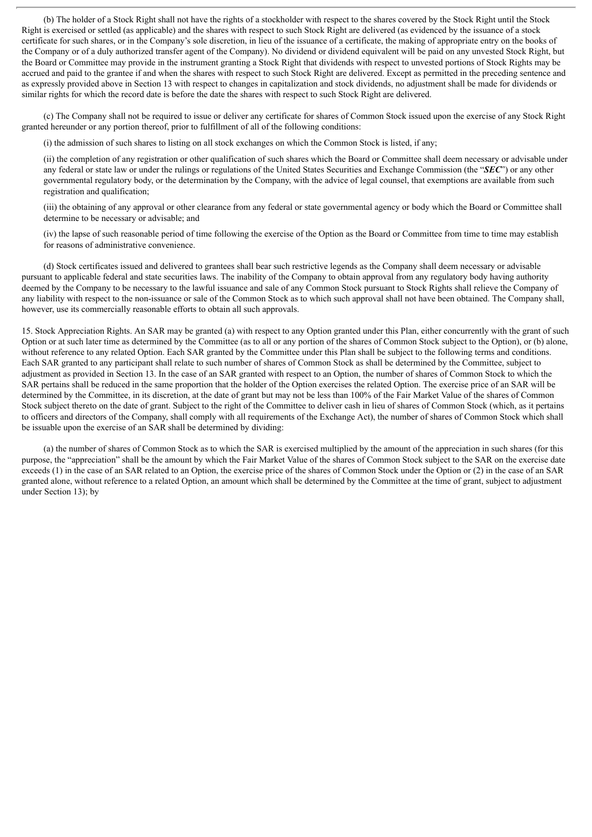(b) The holder of a Stock Right shall not have the rights of a stockholder with respect to the shares covered by the Stock Right until the Stock Right is exercised or settled (as applicable) and the shares with respect to such Stock Right are delivered (as evidenced by the issuance of a stock certificate for such shares, or in the Company's sole discretion, in lieu of the issuance of a certificate, the making of appropriate entry on the books of the Company or of a duly authorized transfer agent of the Company). No dividend or dividend equivalent will be paid on any unvested Stock Right, but the Board or Committee may provide in the instrument granting a Stock Right that dividends with respect to unvested portions of Stock Rights may be accrued and paid to the grantee if and when the shares with respect to such Stock Right are delivered. Except as permitted in the preceding sentence and as expressly provided above in Section 13 with respect to changes in capitalization and stock dividends, no adjustment shall be made for dividends or similar rights for which the record date is before the date the shares with respect to such Stock Right are delivered.

(c) The Company shall not be required to issue or deliver any certificate for shares of Common Stock issued upon the exercise of any Stock Right granted hereunder or any portion thereof, prior to fulfillment of all of the following conditions:

(i) the admission of such shares to listing on all stock exchanges on which the Common Stock is listed, if any;

(ii) the completion of any registration or other qualification of such shares which the Board or Committee shall deem necessary or advisable under any federal or state law or under the rulings or regulations of the United States Securities and Exchange Commission (the "*SEC*") or any other governmental regulatory body, or the determination by the Company, with the advice of legal counsel, that exemptions are available from such registration and qualification;

(iii) the obtaining of any approval or other clearance from any federal or state governmental agency or body which the Board or Committee shall determine to be necessary or advisable; and

(iv) the lapse of such reasonable period of time following the exercise of the Option as the Board or Committee from time to time may establish for reasons of administrative convenience.

(d) Stock certificates issued and delivered to grantees shall bear such restrictive legends as the Company shall deem necessary or advisable pursuant to applicable federal and state securities laws. The inability of the Company to obtain approval from any regulatory body having authority deemed by the Company to be necessary to the lawful issuance and sale of any Common Stock pursuant to Stock Rights shall relieve the Company of any liability with respect to the non-issuance or sale of the Common Stock as to which such approval shall not have been obtained. The Company shall, however, use its commercially reasonable efforts to obtain all such approvals.

15. Stock Appreciation Rights. An SAR may be granted (a) with respect to any Option granted under this Plan, either concurrently with the grant of such Option or at such later time as determined by the Committee (as to all or any portion of the shares of Common Stock subject to the Option), or (b) alone, without reference to any related Option. Each SAR granted by the Committee under this Plan shall be subject to the following terms and conditions. Each SAR granted to any participant shall relate to such number of shares of Common Stock as shall be determined by the Committee, subject to adjustment as provided in Section 13. In the case of an SAR granted with respect to an Option, the number of shares of Common Stock to which the SAR pertains shall be reduced in the same proportion that the holder of the Option exercises the related Option. The exercise price of an SAR will be determined by the Committee, in its discretion, at the date of grant but may not be less than 100% of the Fair Market Value of the shares of Common Stock subject thereto on the date of grant. Subject to the right of the Committee to deliver cash in lieu of shares of Common Stock (which, as it pertains to officers and directors of the Company, shall comply with all requirements of the Exchange Act), the number of shares of Common Stock which shall be issuable upon the exercise of an SAR shall be determined by dividing:

(a) the number of shares of Common Stock as to which the SAR is exercised multiplied by the amount of the appreciation in such shares (for this purpose, the "appreciation" shall be the amount by which the Fair Market Value of the shares of Common Stock subject to the SAR on the exercise date exceeds (1) in the case of an SAR related to an Option, the exercise price of the shares of Common Stock under the Option or (2) in the case of an SAR granted alone, without reference to a related Option, an amount which shall be determined by the Committee at the time of grant, subject to adjustment under Section 13); by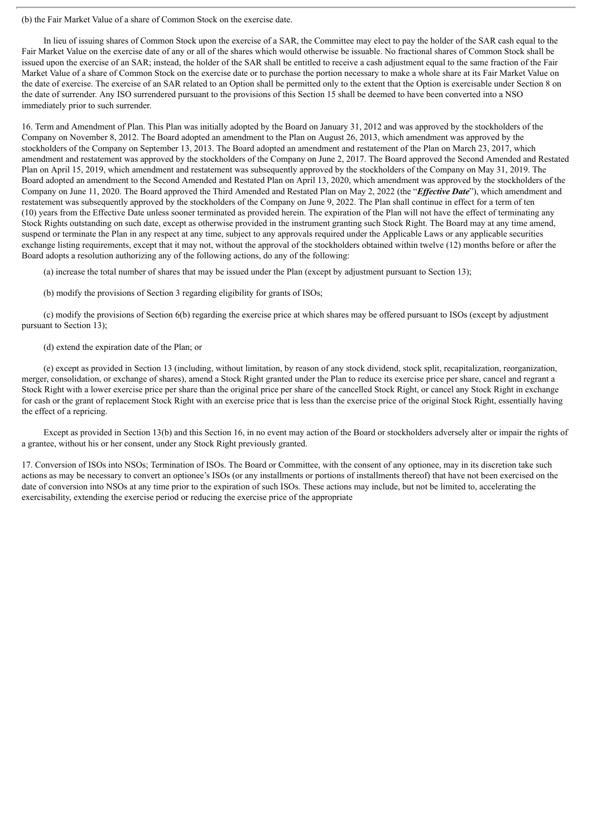(b) the Fair Market Value of a share of Common Stock on the exercise date.

In lieu of issuing shares of Common Stock upon the exercise of a SAR, the Committee may elect to pay the holder of the SAR cash equal to the Fair Market Value on the exercise date of any or all of the shares which would otherwise be issuable. No fractional shares of Common Stock shall be issued upon the exercise of an SAR; instead, the holder of the SAR shall be entitled to receive a cash adjustment equal to the same fraction of the Fair Market Value of a share of Common Stock on the exercise date or to purchase the portion necessary to make a whole share at its Fair Market Value on the date of exercise. The exercise of an SAR related to an Option shall be permitted only to the extent that the Option is exercisable under Section 8 on the date of surrender. Any ISO surrendered pursuant to the provisions of this Section 15 shall be deemed to have been converted into a NSO immediately prior to such surrender.

16. Term and Amendment of Plan. This Plan was initially adopted by the Board on January 31, 2012 and was approved by the stockholders of the Company on November 8, 2012. The Board adopted an amendment to the Plan on August 26, 2013, which amendment was approved by the stockholders of the Company on September 13, 2013. The Board adopted an amendment and restatement of the Plan on March 23, 2017, which amendment and restatement was approved by the stockholders of the Company on June 2, 2017. The Board approved the Second Amended and Restated Plan on April 15, 2019, which amendment and restatement was subsequently approved by the stockholders of the Company on May 31, 2019. The Board adopted an amendment to the Second Amended and Restated Plan on April 13, 2020, which amendment was approved by the stockholders of the Company on June 11, 2020. The Board approved the Third Amended and Restated Plan on May 2, 2022 (the "*Ef ective Date*"), which amendment and restatement was subsequently approved by the stockholders of the Company on June 9, 2022. The Plan shall continue in effect for a term of ten (10) years from the Effective Date unless sooner terminated as provided herein. The expiration of the Plan will not have the effect of terminating any Stock Rights outstanding on such date, except as otherwise provided in the instrument granting such Stock Right. The Board may at any time amend, suspend or terminate the Plan in any respect at any time, subject to any approvals required under the Applicable Laws or any applicable securities exchange listing requirements, except that it may not, without the approval of the stockholders obtained within twelve (12) months before or after the Board adopts a resolution authorizing any of the following actions, do any of the following:

(a) increase the total number of shares that may be issued under the Plan (except by adjustment pursuant to Section 13);

(b) modify the provisions of Section 3 regarding eligibility for grants of ISOs;

(c) modify the provisions of Section 6(b) regarding the exercise price at which shares may be offered pursuant to ISOs (except by adjustment pursuant to Section 13);

(d) extend the expiration date of the Plan; or

(e) except as provided in Section 13 (including, without limitation, by reason of any stock dividend, stock split, recapitalization, reorganization, merger, consolidation, or exchange of shares), amend a Stock Right granted under the Plan to reduce its exercise price per share, cancel and regrant a Stock Right with a lower exercise price per share than the original price per share of the cancelled Stock Right, or cancel any Stock Right in exchange for cash or the grant of replacement Stock Right with an exercise price that is less than the exercise price of the original Stock Right, essentially having the effect of a repricing.

Except as provided in Section 13(b) and this Section 16, in no event may action of the Board or stockholders adversely alter or impair the rights of a grantee, without his or her consent, under any Stock Right previously granted.

17. Conversion of ISOs into NSOs; Termination of ISOs. The Board or Committee, with the consent of any optionee, may in its discretion take such actions as may be necessary to convert an optionee's ISOs (or any installments or portions of installments thereof) that have not been exercised on the date of conversion into NSOs at any time prior to the expiration of such ISOs. These actions may include, but not be limited to, accelerating the exercisability, extending the exercise period or reducing the exercise price of the appropriate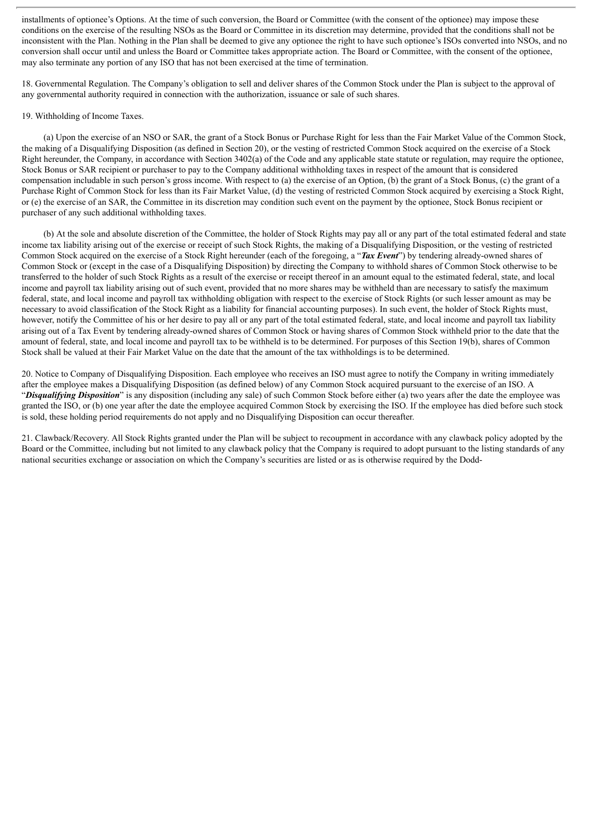installments of optionee's Options. At the time of such conversion, the Board or Committee (with the consent of the optionee) may impose these conditions on the exercise of the resulting NSOs as the Board or Committee in its discretion may determine, provided that the conditions shall not be inconsistent with the Plan. Nothing in the Plan shall be deemed to give any optionee the right to have such optionee's ISOs converted into NSOs, and no conversion shall occur until and unless the Board or Committee takes appropriate action. The Board or Committee, with the consent of the optionee, may also terminate any portion of any ISO that has not been exercised at the time of termination.

18. Governmental Regulation. The Company's obligation to sell and deliver shares of the Common Stock under the Plan is subject to the approval of any governmental authority required in connection with the authorization, issuance or sale of such shares.

#### 19. Withholding of Income Taxes.

(a) Upon the exercise of an NSO or SAR, the grant of a Stock Bonus or Purchase Right for less than the Fair Market Value of the Common Stock, the making of a Disqualifying Disposition (as defined in Section 20), or the vesting of restricted Common Stock acquired on the exercise of a Stock Right hereunder, the Company, in accordance with Section 3402(a) of the Code and any applicable state statute or regulation, may require the optionee, Stock Bonus or SAR recipient or purchaser to pay to the Company additional withholding taxes in respect of the amount that is considered compensation includable in such person's gross income. With respect to (a) the exercise of an Option, (b) the grant of a Stock Bonus, (c) the grant of a Purchase Right of Common Stock for less than its Fair Market Value, (d) the vesting of restricted Common Stock acquired by exercising a Stock Right, or (e) the exercise of an SAR, the Committee in its discretion may condition such event on the payment by the optionee, Stock Bonus recipient or purchaser of any such additional withholding taxes.

(b) At the sole and absolute discretion of the Committee, the holder of Stock Rights may pay all or any part of the total estimated federal and state income tax liability arising out of the exercise or receipt of such Stock Rights, the making of a Disqualifying Disposition, or the vesting of restricted Common Stock acquired on the exercise of a Stock Right hereunder (each of the foregoing, a "*Tax Event*") by tendering already-owned shares of Common Stock or (except in the case of a Disqualifying Disposition) by directing the Company to withhold shares of Common Stock otherwise to be transferred to the holder of such Stock Rights as a result of the exercise or receipt thereof in an amount equal to the estimated federal, state, and local income and payroll tax liability arising out of such event, provided that no more shares may be withheld than are necessary to satisfy the maximum federal, state, and local income and payroll tax withholding obligation with respect to the exercise of Stock Rights (or such lesser amount as may be necessary to avoid classification of the Stock Right as a liability for financial accounting purposes). In such event, the holder of Stock Rights must, however, notify the Committee of his or her desire to pay all or any part of the total estimated federal, state, and local income and payroll tax liability arising out of a Tax Event by tendering already-owned shares of Common Stock or having shares of Common Stock withheld prior to the date that the amount of federal, state, and local income and payroll tax to be withheld is to be determined. For purposes of this Section 19(b), shares of Common Stock shall be valued at their Fair Market Value on the date that the amount of the tax withholdings is to be determined.

20. Notice to Company of Disqualifying Disposition. Each employee who receives an ISO must agree to notify the Company in writing immediately after the employee makes a Disqualifying Disposition (as defined below) of any Common Stock acquired pursuant to the exercise of an ISO. A "*Disqualifying Disposition*" is any disposition (including any sale) of such Common Stock before either (a) two years after the date the employee was granted the ISO, or (b) one year after the date the employee acquired Common Stock by exercising the ISO. If the employee has died before such stock is sold, these holding period requirements do not apply and no Disqualifying Disposition can occur thereafter.

21. Clawback/Recovery. All Stock Rights granted under the Plan will be subject to recoupment in accordance with any clawback policy adopted by the Board or the Committee, including but not limited to any clawback policy that the Company is required to adopt pursuant to the listing standards of any national securities exchange or association on which the Company's securities are listed or as is otherwise required by the Dodd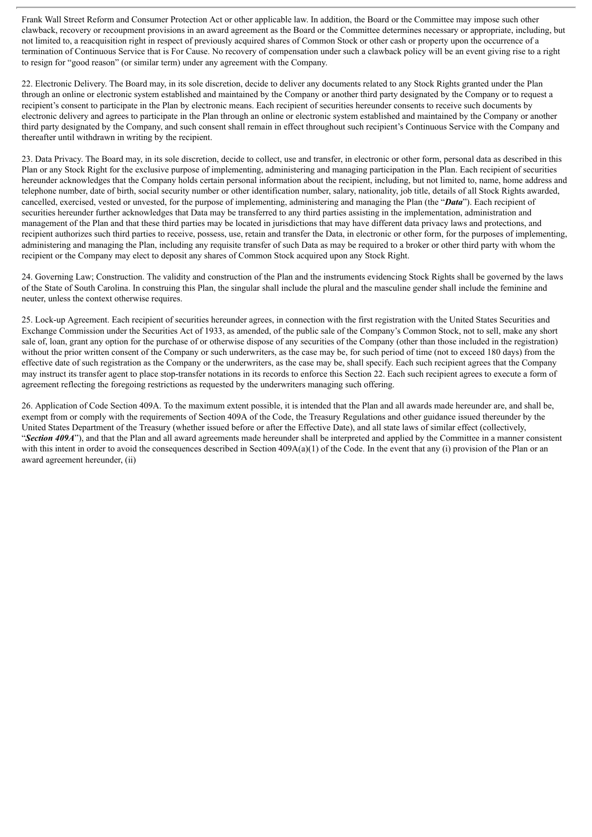Frank Wall Street Reform and Consumer Protection Act or other applicable law. In addition, the Board or the Committee may impose such other clawback, recovery or recoupment provisions in an award agreement as the Board or the Committee determines necessary or appropriate, including, but not limited to, a reacquisition right in respect of previously acquired shares of Common Stock or other cash or property upon the occurrence of a termination of Continuous Service that is For Cause. No recovery of compensation under such a clawback policy will be an event giving rise to a right to resign for "good reason" (or similar term) under any agreement with the Company.

22. Electronic Delivery. The Board may, in its sole discretion, decide to deliver any documents related to any Stock Rights granted under the Plan through an online or electronic system established and maintained by the Company or another third party designated by the Company or to request a recipient's consent to participate in the Plan by electronic means. Each recipient of securities hereunder consents to receive such documents by electronic delivery and agrees to participate in the Plan through an online or electronic system established and maintained by the Company or another third party designated by the Company, and such consent shall remain in effect throughout such recipient's Continuous Service with the Company and thereafter until withdrawn in writing by the recipient.

23. Data Privacy. The Board may, in its sole discretion, decide to collect, use and transfer, in electronic or other form, personal data as described in this Plan or any Stock Right for the exclusive purpose of implementing, administering and managing participation in the Plan. Each recipient of securities hereunder acknowledges that the Company holds certain personal information about the recipient, including, but not limited to, name, home address and telephone number, date of birth, social security number or other identification number, salary, nationality, job title, details of all Stock Rights awarded, cancelled, exercised, vested or unvested, for the purpose of implementing, administering and managing the Plan (the "*Data*"). Each recipient of securities hereunder further acknowledges that Data may be transferred to any third parties assisting in the implementation, administration and management of the Plan and that these third parties may be located in jurisdictions that may have different data privacy laws and protections, and recipient authorizes such third parties to receive, possess, use, retain and transfer the Data, in electronic or other form, for the purposes of implementing, administering and managing the Plan, including any requisite transfer of such Data as may be required to a broker or other third party with whom the recipient or the Company may elect to deposit any shares of Common Stock acquired upon any Stock Right.

24. Governing Law; Construction. The validity and construction of the Plan and the instruments evidencing Stock Rights shall be governed by the laws of the State of South Carolina. In construing this Plan, the singular shall include the plural and the masculine gender shall include the feminine and neuter, unless the context otherwise requires.

25. Lock-up Agreement. Each recipient of securities hereunder agrees, in connection with the first registration with the United States Securities and Exchange Commission under the Securities Act of 1933, as amended, of the public sale of the Company's Common Stock, not to sell, make any short sale of, loan, grant any option for the purchase of or otherwise dispose of any securities of the Company (other than those included in the registration) without the prior written consent of the Company or such underwriters, as the case may be, for such period of time (not to exceed 180 days) from the effective date of such registration as the Company or the underwriters, as the case may be, shall specify. Each such recipient agrees that the Company may instruct its transfer agent to place stop-transfer notations in its records to enforce this Section 22. Each such recipient agrees to execute a form of agreement reflecting the foregoing restrictions as requested by the underwriters managing such offering.

26. Application of Code Section 409A. To the maximum extent possible, it is intended that the Plan and all awards made hereunder are, and shall be, exempt from or comply with the requirements of Section 409A of the Code, the Treasury Regulations and other guidance issued thereunder by the United States Department of the Treasury (whether issued before or after the Effective Date), and all state laws of similar effect (collectively, "*Section 409A*"), and that the Plan and all award agreements made hereunder shall be interpreted and applied by the Committee in a manner consistent with this intent in order to avoid the consequences described in Section  $409A(a)(1)$  of the Code. In the event that any (i) provision of the Plan or an award agreement hereunder, (ii)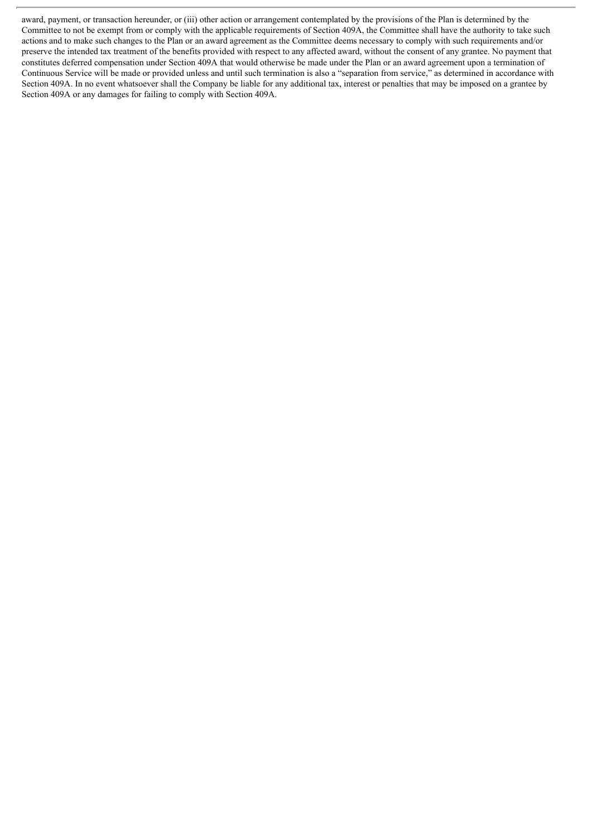award, payment, or transaction hereunder, or (iii) other action or arrangement contemplated by the provisions of the Plan is determined by the Committee to not be exempt from or comply with the applicable requirements of Section 409A, the Committee shall have the authority to take such actions and to make such changes to the Plan or an award agreement as the Committee deems necessary to comply with such requirements and/or preserve the intended tax treatment of the benefits provided with respect to any affected award, without the consent of any grantee. No payment that constitutes deferred compensation under Section 409A that would otherwise be made under the Plan or an award agreement upon a termination of Continuous Service will be made or provided unless and until such termination is also a "separation from service," as determined in accordance with Section 409A. In no event whatsoever shall the Company be liable for any additional tax, interest or penalties that may be imposed on a grantee by Section 409A or any damages for failing to comply with Section 409A.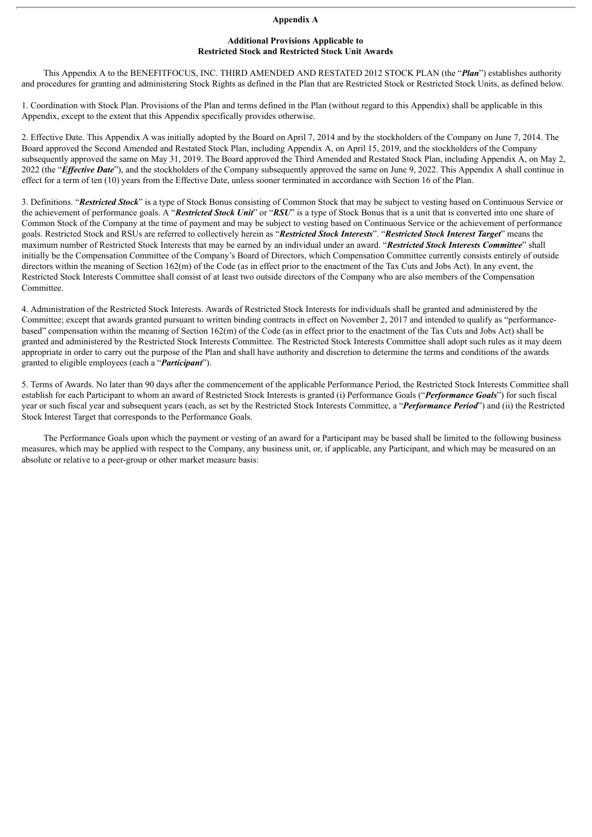#### **Appendix A**

#### **Additional Provisions Applicable to Restricted Stock and Restricted Stock Unit Awards**

This Appendix A to the BENEFITFOCUS, INC. THIRD AMENDED AND RESTATED 2012 STOCK PLAN (the "*Plan*") establishes authority and procedures for granting and administering Stock Rights as defined in the Plan that are Restricted Stock or Restricted Stock Units, as defined below.

1. Coordination with Stock Plan. Provisions of the Plan and terms defined in the Plan (without regard to this Appendix) shall be applicable in this Appendix, except to the extent that this Appendix specifically provides otherwise.

2. Effective Date. This Appendix A was initially adopted by the Board on April 7, 2014 and by the stockholders of the Company on June 7, 2014. The Board approved the Second Amended and Restated Stock Plan, including Appendix A, on April 15, 2019, and the stockholders of the Company subsequently approved the same on May 31, 2019. The Board approved the Third Amended and Restated Stock Plan, including Appendix A, on May 2, 2022 (the "*Effective Date*"), and the stockholders of the Company subsequently approved the same on June 9, 2022. This Appendix A shall continue in effect for a term of ten (10) years from the Effective Date, unless sooner terminated in accordance with Section 16 of the Plan.

3. Definitions. "*Restricted Stock*" is a type of Stock Bonus consisting of Common Stock that may be subject to vesting based on Continuous Service or the achievement of performance goals. A "*Restricted Stock Unit*" or "*RSU*" is a type of Stock Bonus that is a unit that is converted into one share of Common Stock of the Company at the time of payment and may be subject to vesting based on Continuous Service or the achievement of performance goals. Restricted Stock and RSUs are referred to collectively herein as "*Restricted Stock Interests*". "*Restricted Stock Interest Target*" means the maximum number of Restricted Stock Interests that may be earned by an individual under an award. "*Restricted Stock Interests Committee*" shall initially be the Compensation Committee of the Company's Board of Directors, which Compensation Committee currently consists entirely of outside directors within the meaning of Section 162(m) of the Code (as in effect prior to the enactment of the Tax Cuts and Jobs Act). In any event, the Restricted Stock Interests Committee shall consist of at least two outside directors of the Company who are also members of the Compensation Committee.

4. Administration of the Restricted Stock Interests. Awards of Restricted Stock Interests for individuals shall be granted and administered by the Committee; except that awards granted pursuant to written binding contracts in effect on November 2, 2017 and intended to qualify as "performancebased" compensation within the meaning of Section 162(m) of the Code (as in effect prior to the enactment of the Tax Cuts and Jobs Act) shall be granted and administered by the Restricted Stock Interests Committee. The Restricted Stock Interests Committee shall adopt such rules as it may deem appropriate in order to carry out the purpose of the Plan and shall have authority and discretion to determine the terms and conditions of the awards granted to eligible employees (each a "*Participant*").

5. Terms of Awards. No later than 90 days after the commencement of the applicable Performance Period, the Restricted Stock Interests Committee shall establish for each Participant to whom an award of Restricted Stock Interests is granted (i) Performance Goals ("*Performance Goals*") for such fiscal year or such fiscal year and subsequent years (each, as set by the Restricted Stock Interests Committee, a "*Performance Period*") and (ii) the Restricted Stock Interest Target that corresponds to the Performance Goals.

The Performance Goals upon which the payment or vesting of an award for a Participant may be based shall be limited to the following business measures, which may be applied with respect to the Company, any business unit, or, if applicable, any Participant, and which may be measured on an absolute or relative to a peer-group or other market measure basis: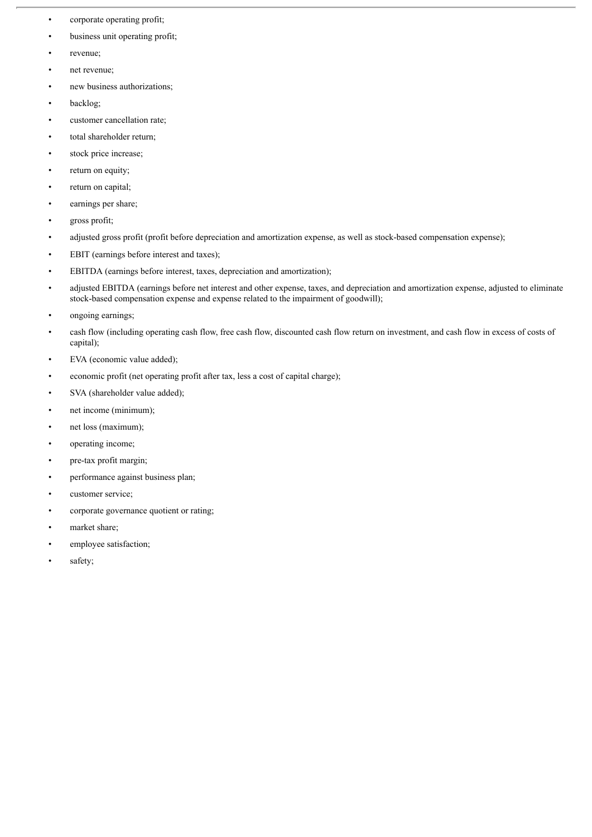- corporate operating profit;
- business unit operating profit;
- revenue;
- net revenue;
- new business authorizations;
- backlog;
- customer cancellation rate;
- total shareholder return;
- stock price increase;
- return on equity;
- return on capital;
- earnings per share;
- gross profit;
- adjusted gross profit (profit before depreciation and amortization expense, as well as stock-based compensation expense);
- EBIT (earnings before interest and taxes);
- EBITDA (earnings before interest, taxes, depreciation and amortization);
- adjusted EBITDA (earnings before net interest and other expense, taxes, and depreciation and amortization expense, adjusted to eliminate stock-based compensation expense and expense related to the impairment of goodwill);
- ongoing earnings;
- cash flow (including operating cash flow, free cash flow, discounted cash flow return on investment, and cash flow in excess of costs of capital);
- EVA (economic value added);
- economic profit (net operating profit after tax, less a cost of capital charge);
- SVA (shareholder value added);
- net income (minimum);
- net loss (maximum);
- operating income;
- pre-tax profit margin;
- performance against business plan;
- customer service;
- corporate governance quotient or rating;
- market share;
- employee satisfaction;
- safety;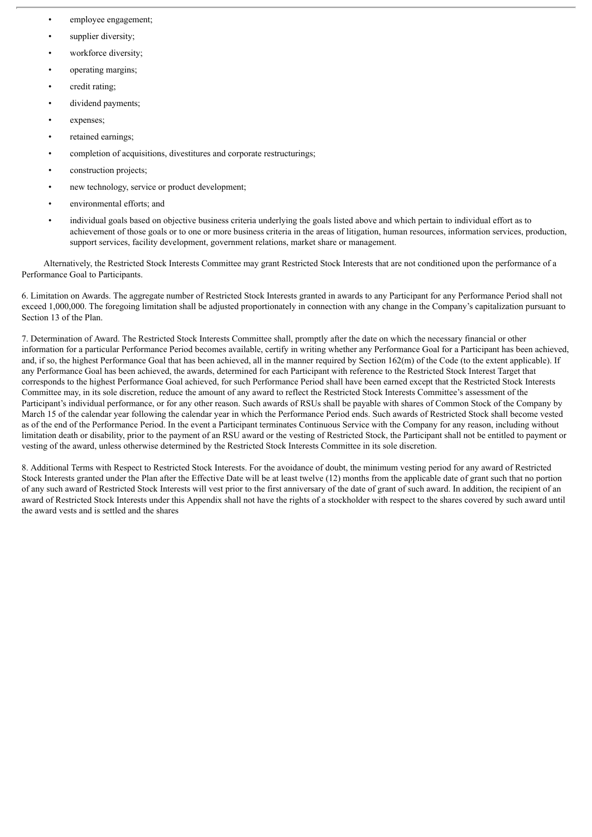- employee engagement;
- supplier diversity;
- workforce diversity;
- operating margins;
- credit rating;
- dividend payments;
- expenses;
- retained earnings;
- completion of acquisitions, divestitures and corporate restructurings;
- construction projects:
- new technology, service or product development;
- environmental efforts; and
- individual goals based on objective business criteria underlying the goals listed above and which pertain to individual effort as to achievement of those goals or to one or more business criteria in the areas of litigation, human resources, information services, production, support services, facility development, government relations, market share or management.

Alternatively, the Restricted Stock Interests Committee may grant Restricted Stock Interests that are not conditioned upon the performance of a Performance Goal to Participants.

6. Limitation on Awards. The aggregate number of Restricted Stock Interests granted in awards to any Participant for any Performance Period shall not exceed 1,000,000. The foregoing limitation shall be adjusted proportionately in connection with any change in the Company's capitalization pursuant to Section 13 of the Plan.

7. Determination of Award. The Restricted Stock Interests Committee shall, promptly after the date on which the necessary financial or other information for a particular Performance Period becomes available, certify in writing whether any Performance Goal for a Participant has been achieved, and, if so, the highest Performance Goal that has been achieved, all in the manner required by Section 162(m) of the Code (to the extent applicable). If any Performance Goal has been achieved, the awards, determined for each Participant with reference to the Restricted Stock Interest Target that corresponds to the highest Performance Goal achieved, for such Performance Period shall have been earned except that the Restricted Stock Interests Committee may, in its sole discretion, reduce the amount of any award to reflect the Restricted Stock Interests Committee's assessment of the Participant's individual performance, or for any other reason. Such awards of RSUs shall be payable with shares of Common Stock of the Company by March 15 of the calendar year following the calendar year in which the Performance Period ends. Such awards of Restricted Stock shall become vested as of the end of the Performance Period. In the event a Participant terminates Continuous Service with the Company for any reason, including without limitation death or disability, prior to the payment of an RSU award or the vesting of Restricted Stock, the Participant shall not be entitled to payment or vesting of the award, unless otherwise determined by the Restricted Stock Interests Committee in its sole discretion.

8. Additional Terms with Respect to Restricted Stock Interests. For the avoidance of doubt, the minimum vesting period for any award of Restricted Stock Interests granted under the Plan after the Effective Date will be at least twelve (12) months from the applicable date of grant such that no portion of any such award of Restricted Stock Interests will vest prior to the first anniversary of the date of grant of such award. In addition, the recipient of an award of Restricted Stock Interests under this Appendix shall not have the rights of a stockholder with respect to the shares covered by such award until the award vests and is settled and the shares